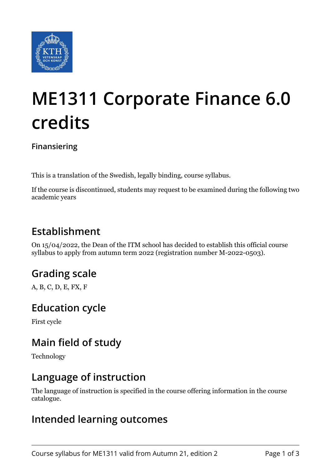

# **ME1311 Corporate Finance 6.0 credits**

#### **Finansiering**

This is a translation of the Swedish, legally binding, course syllabus.

If the course is discontinued, students may request to be examined during the following two academic years

### **Establishment**

On 15/04/2022, the Dean of the ITM school has decided to establish this official course syllabus to apply from autumn term 2022 (registration number M-2022-0503).

## **Grading scale**

A, B, C, D, E, FX, F

#### **Education cycle**

First cycle

### **Main field of study**

Technology

#### **Language of instruction**

The language of instruction is specified in the course offering information in the course catalogue.

#### **Intended learning outcomes**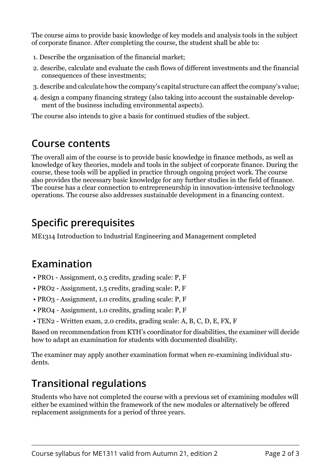The course aims to provide basic knowledge of key models and analysis tools in the subject of corporate finance. After completing the course, the student shall be able to:

- 1. Describe the organisation of the financial market;
- 2. describe, calculate and evaluate the cash flows of different investments and the financial consequences of these investments;
- 3. describe and calculate how the company's capital structure can affect the company's value;
- 4. design a company financing strategy (also taking into account the sustainable development of the business including environmental aspects).

The course also intends to give a basis for continued studies of the subject.

### **Course contents**

The overall aim of the course is to provide basic knowledge in finance methods, as well as knowledge of key theories, models and tools in the subject of corporate finance. During the course, these tools will be applied in practice through ongoing project work. The course also provides the necessary basic knowledge for any further studies in the field of finance. The course has a clear connection to entrepreneurship in innovation-intensive technology operations. The course also addresses sustainable development in a financing context.

## **Specific prerequisites**

ME1314 Introduction to Industrial Engineering and Management completed

## **Examination**

- PRO1 Assignment, 0.5 credits, grading scale: P, F
- PRO2 Assignment, 1.5 credits, grading scale: P, F
- PRO3 Assignment, 1.0 credits, grading scale: P, F
- PRO4 Assignment, 1.0 credits, grading scale: P, F
- TEN2 Written exam, 2.0 credits, grading scale: A, B, C, D, E, FX, F

Based on recommendation from KTH's coordinator for disabilities, the examiner will decide how to adapt an examination for students with documented disability.

The examiner may apply another examination format when re-examining individual students.

## **Transitional regulations**

Students who have not completed the course with a previous set of examining modules will either be examined within the framework of the new modules or alternatively be offered replacement assignments for a period of three years.